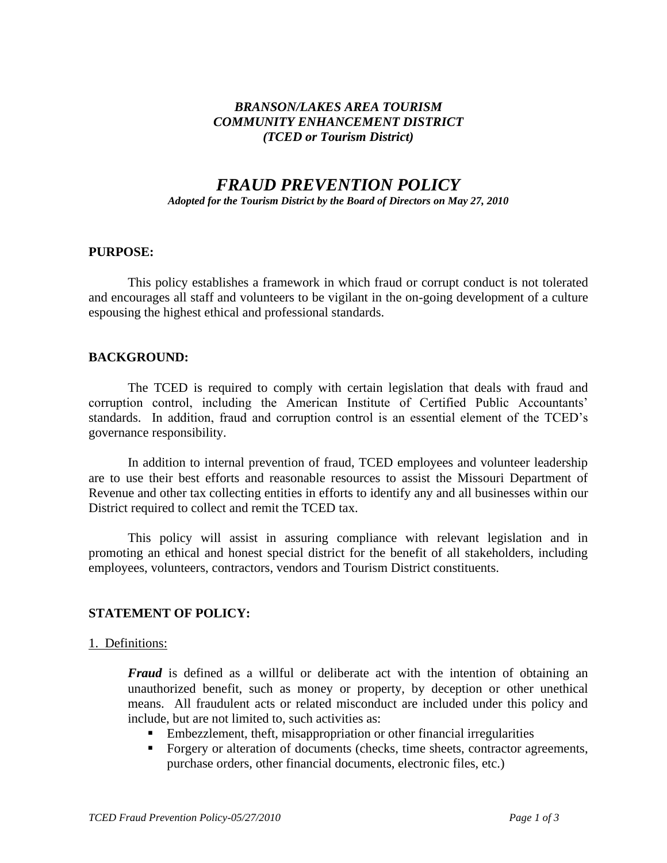## *BRANSON/LAKES AREA TOURISM COMMUNITY ENHANCEMENT DISTRICT (TCED or Tourism District)*

# *FRAUD PREVENTION POLICY*

*Adopted for the Tourism District by the Board of Directors on May 27, 2010*

#### **PURPOSE:**

This policy establishes a framework in which fraud or corrupt conduct is not tolerated and encourages all staff and volunteers to be vigilant in the on-going development of a culture espousing the highest ethical and professional standards.

#### **BACKGROUND:**

The TCED is required to comply with certain legislation that deals with fraud and corruption control, including the American Institute of Certified Public Accountants' standards. In addition, fraud and corruption control is an essential element of the TCED's governance responsibility.

In addition to internal prevention of fraud, TCED employees and volunteer leadership are to use their best efforts and reasonable resources to assist the Missouri Department of Revenue and other tax collecting entities in efforts to identify any and all businesses within our District required to collect and remit the TCED tax.

This policy will assist in assuring compliance with relevant legislation and in promoting an ethical and honest special district for the benefit of all stakeholders, including employees, volunteers, contractors, vendors and Tourism District constituents.

# **STATEMENT OF POLICY:**

#### 1. Definitions:

*Fraud* is defined as a willful or deliberate act with the intention of obtaining an unauthorized benefit, such as money or property, by deception or other unethical means. All fraudulent acts or related misconduct are included under this policy and include, but are not limited to, such activities as:

- Embezzlement, theft, misappropriation or other financial irregularities
- Forgery or alteration of documents (checks, time sheets, contractor agreements, purchase orders, other financial documents, electronic files, etc.)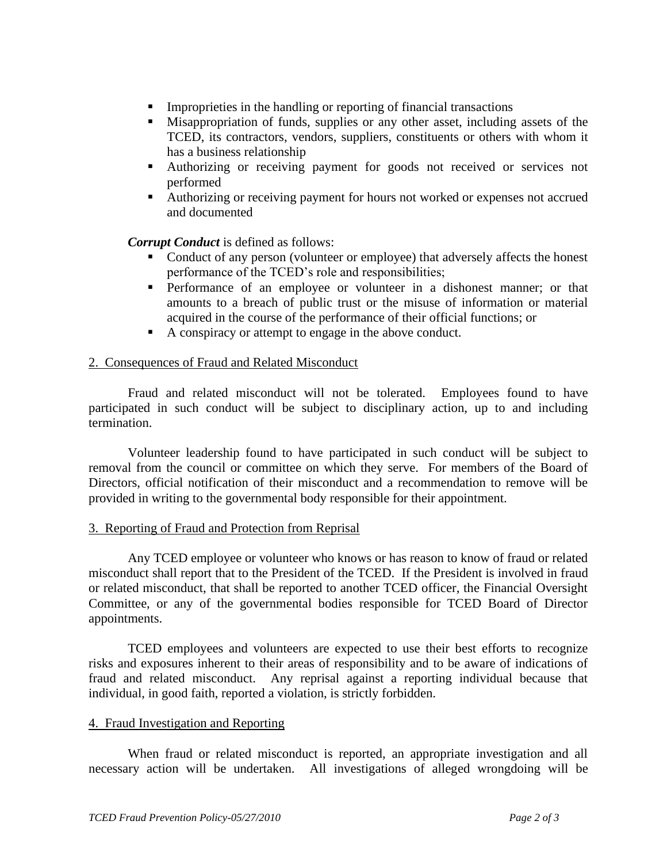- **EXECUTE:** Improprieties in the handling or reporting of financial transactions
- **EXECUTE:** Misappropriation of funds, supplies or any other asset, including assets of the TCED, its contractors, vendors, suppliers, constituents or others with whom it has a business relationship
- Authorizing or receiving payment for goods not received or services not performed
- Authorizing or receiving payment for hours not worked or expenses not accrued and documented

*Corrupt Conduct* is defined as follows:

- Conduct of any person (volunteer or employee) that adversely affects the honest performance of the TCED's role and responsibilities;
- **•** Performance of an employee or volunteer in a dishonest manner; or that amounts to a breach of public trust or the misuse of information or material acquired in the course of the performance of their official functions; or
- A conspiracy or attempt to engage in the above conduct.

#### 2. Consequences of Fraud and Related Misconduct

Fraud and related misconduct will not be tolerated. Employees found to have participated in such conduct will be subject to disciplinary action, up to and including termination.

Volunteer leadership found to have participated in such conduct will be subject to removal from the council or committee on which they serve. For members of the Board of Directors, official notification of their misconduct and a recommendation to remove will be provided in writing to the governmental body responsible for their appointment.

#### 3. Reporting of Fraud and Protection from Reprisal

Any TCED employee or volunteer who knows or has reason to know of fraud or related misconduct shall report that to the President of the TCED. If the President is involved in fraud or related misconduct, that shall be reported to another TCED officer, the Financial Oversight Committee, or any of the governmental bodies responsible for TCED Board of Director appointments.

TCED employees and volunteers are expected to use their best efforts to recognize risks and exposures inherent to their areas of responsibility and to be aware of indications of fraud and related misconduct. Any reprisal against a reporting individual because that individual, in good faith, reported a violation, is strictly forbidden.

#### 4. Fraud Investigation and Reporting

When fraud or related misconduct is reported, an appropriate investigation and all necessary action will be undertaken. All investigations of alleged wrongdoing will be